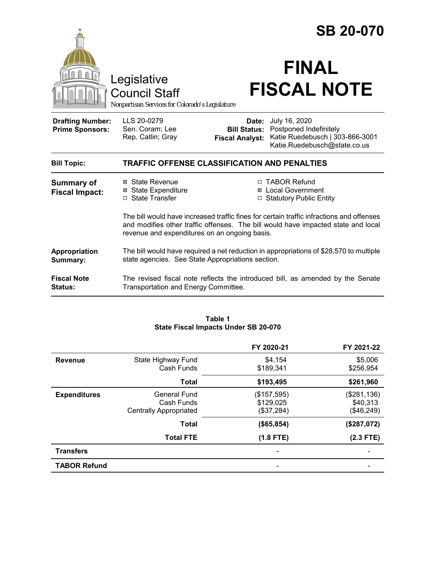|                                                   | Legislative<br><b>Council Staff</b><br>Nonpartisan Services for Colorado's Legislature                                                      |                                                        | <b>SB 20-070</b><br><b>FINAL</b><br><b>FISCAL NOTE</b>                                                                                                                        |
|---------------------------------------------------|---------------------------------------------------------------------------------------------------------------------------------------------|--------------------------------------------------------|-------------------------------------------------------------------------------------------------------------------------------------------------------------------------------|
| <b>Drafting Number:</b><br><b>Prime Sponsors:</b> | LLS 20-0279<br>Sen. Coram; Lee<br>Rep. Catlin; Gray                                                                                         | Date:<br><b>Bill Status:</b><br><b>Fiscal Analyst:</b> | July 16, 2020<br>Postponed Indefinitely<br>Katie Ruedebusch   303-866-3001<br>Katie.Ruedebusch@state.co.us                                                                    |
| <b>Bill Topic:</b>                                | <b>TRAFFIC OFFENSE CLASSIFICATION AND PENALTIES</b>                                                                                         |                                                        |                                                                                                                                                                               |
| <b>Summary of</b><br><b>Fiscal Impact:</b>        | ⊠ State Revenue<br><b>⊠</b> State Expenditure<br>□ State Transfer                                                                           |                                                        | □ TABOR Refund<br>⊠ Local Government<br>□ Statutory Public Entity                                                                                                             |
|                                                   | revenue and expenditures on an ongoing basis.                                                                                               |                                                        | The bill would have increased traffic fines for certain traffic infractions and offenses<br>and modifies other traffic offenses. The bill would have impacted state and local |
| Appropriation<br>Summary:                         | The bill would have required a net reduction in appropriations of \$28,570 to multiple<br>state agencies. See State Appropriations section. |                                                        |                                                                                                                                                                               |
| <b>Fiscal Note</b><br><b>Status:</b>              | The revised fiscal note reflects the introduced bill, as amended by the Senate<br>Transportation and Energy Committee.                      |                                                        |                                                                                                                                                                               |

#### **Table 1 State Fiscal Impacts Under SB 20-070**

|                     |                               | FY 2020-21  | FY 2021-22  |
|---------------------|-------------------------------|-------------|-------------|
| <b>Revenue</b>      | State Highway Fund            | \$4,154     | \$5,006     |
|                     | Cash Funds                    | \$189,341   | \$256,954   |
|                     | <b>Total</b>                  | \$193,495   | \$261,960   |
| <b>Expenditures</b> | <b>General Fund</b>           | (\$157,595) | (\$281,136) |
|                     | Cash Funds                    | \$129,025   | \$40,313    |
|                     | <b>Centrally Appropriated</b> | (\$37,284)  | (\$46,249)  |
|                     | <b>Total</b>                  | (\$65,854)  | (\$287,072) |
|                     | <b>Total FTE</b>              | $(1.8$ FTE) | $(2.3$ FTE) |
| <b>Transfers</b>    |                               |             |             |
| <b>TABOR Refund</b> |                               | -           |             |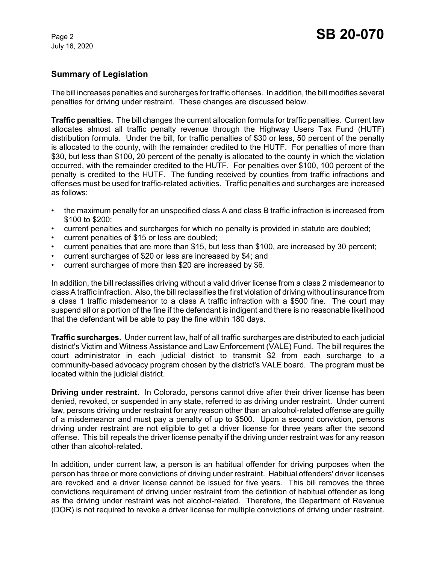### **Summary of Legislation**

The bill increases penalties and surcharges for traffic offenses. In addition, the bill modifies several penalties for driving under restraint. These changes are discussed below.

**Traffic penalties.** The bill changes the current allocation formula for traffic penalties. Current law allocates almost all traffic penalty revenue through the Highway Users Tax Fund (HUTF) distribution formula. Under the bill, for traffic penalties of \$30 or less, 50 percent of the penalty is allocated to the county, with the remainder credited to the HUTF. For penalties of more than \$30, but less than \$100, 20 percent of the penalty is allocated to the county in which the violation occurred, with the remainder credited to the HUTF. For penalties over \$100, 100 percent of the penalty is credited to the HUTF. The funding received by counties from traffic infractions and offenses must be used for traffic-related activities. Traffic penalties and surcharges are increased as follows:

- the maximum penally for an unspecified class A and class B traffic infraction is increased from \$100 to \$200;
- current penalties and surcharges for which no penalty is provided in statute are doubled;
- current penalties of \$15 or less are doubled;
- current penalties that are more than \$15, but less than \$100, are increased by 30 percent;
- current surcharges of \$20 or less are increased by \$4; and
- current surcharges of more than \$20 are increased by \$6.

In addition, the bill reclassifies driving without a valid driver license from a class 2 misdemeanor to class A traffic infraction. Also, the bill reclassifies the first violation of driving without insurance from a class 1 traffic misdemeanor to a class A traffic infraction with a \$500 fine. The court may suspend all or a portion of the fine if the defendant is indigent and there is no reasonable likelihood that the defendant will be able to pay the fine within 180 days.

**Traffic surcharges.** Under current law, half of all traffic surcharges are distributed to each judicial district's Victim and Witness Assistance and Law Enforcement (VALE) Fund. The bill requires the court administrator in each judicial district to transmit \$2 from each surcharge to a community-based advocacy program chosen by the district's VALE board. The program must be located within the judicial district.

**Driving under restraint.** In Colorado, persons cannot drive after their driver license has been denied, revoked, or suspended in any state, referred to as driving under restraint. Under current law, persons driving under restraint for any reason other than an alcohol-related offense are guilty of a misdemeanor and must pay a penalty of up to \$500. Upon a second conviction, persons driving under restraint are not eligible to get a driver license for three years after the second offense. This bill repeals the driver license penalty if the driving under restraint was for any reason other than alcohol-related.

In addition, under current law, a person is an habitual offender for driving purposes when the person has three or more convictions of driving under restraint. Habitual offenders' driver licenses are revoked and a driver license cannot be issued for five years. This bill removes the three convictions requirement of driving under restraint from the definition of habitual offender as long as the driving under restraint was not alcohol-related. Therefore, the Department of Revenue (DOR) is not required to revoke a driver license for multiple convictions of driving under restraint.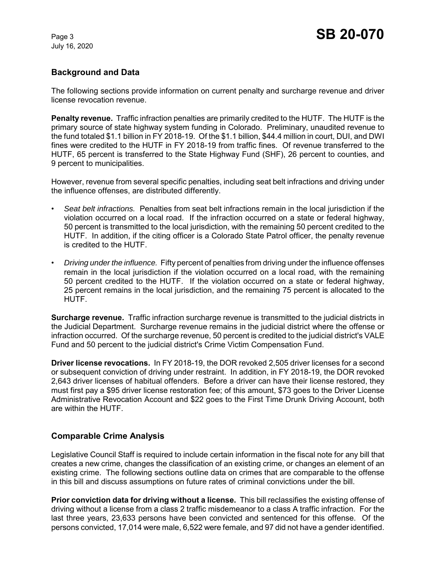# **Background and Data**

The following sections provide information on current penalty and surcharge revenue and driver license revocation revenue.

**Penalty revenue.** Traffic infraction penalties are primarily credited to the HUTF. The HUTF is the primary source of state highway system funding in Colorado. Preliminary, unaudited revenue to the fund totaled \$1.1 billion in FY 2018-19. Of the \$1.1 billion, \$44.4 million in court, DUI, and DWI fines were credited to the HUTF in FY 2018-19 from traffic fines. Of revenue transferred to the HUTF, 65 percent is transferred to the State Highway Fund (SHF), 26 percent to counties, and 9 percent to municipalities.

However, revenue from several specific penalties, including seat belt infractions and driving under the influence offenses, are distributed differently.

- *Seat belt infractions.* Penalties from seat belt infractions remain in the local jurisdiction if the violation occurred on a local road. If the infraction occurred on a state or federal highway, 50 percent is transmitted to the local jurisdiction, with the remaining 50 percent credited to the HUTF. In addition, if the citing officer is a Colorado State Patrol officer, the penalty revenue is credited to the HUTF.
- *Driving under the influence.* Fifty percent of penalties from driving under the influence offenses remain in the local jurisdiction if the violation occurred on a local road, with the remaining 50 percent credited to the HUTF. If the violation occurred on a state or federal highway, 25 percent remains in the local jurisdiction, and the remaining 75 percent is allocated to the HUTF.

**Surcharge revenue.** Traffic infraction surcharge revenue is transmitted to the judicial districts in the Judicial Department. Surcharge revenue remains in the judicial district where the offense or infraction occurred. Of the surcharge revenue, 50 percent is credited to the judicial district's VALE Fund and 50 percent to the judicial district's Crime Victim Compensation Fund.

**Driver license revocations.** In FY 2018-19, the DOR revoked 2,505 driver licenses for a second or subsequent conviction of driving under restraint. In addition, in FY 2018-19, the DOR revoked 2,643 driver licenses of habitual offenders. Before a driver can have their license restored, they must first pay a \$95 driver license restoration fee; of this amount, \$73 goes to the Driver License Administrative Revocation Account and \$22 goes to the First Time Drunk Driving Account, both are within the HUTF.

# **Comparable Crime Analysis**

Legislative Council Staff is required to include certain information in the fiscal note for any bill that creates a new crime, changes the classification of an existing crime, or changes an element of an existing crime. The following sections outline data on crimes that are comparable to the offense in this bill and discuss assumptions on future rates of criminal convictions under the bill.

**Prior conviction data for driving without a license.** This bill reclassifies the existing offense of driving without a license from a class 2 traffic misdemeanor to a class A traffic infraction. For the last three years, 23,633 persons have been convicted and sentenced for this offense. Of the persons convicted, 17,014 were male, 6,522 were female, and 97 did not have a gender identified.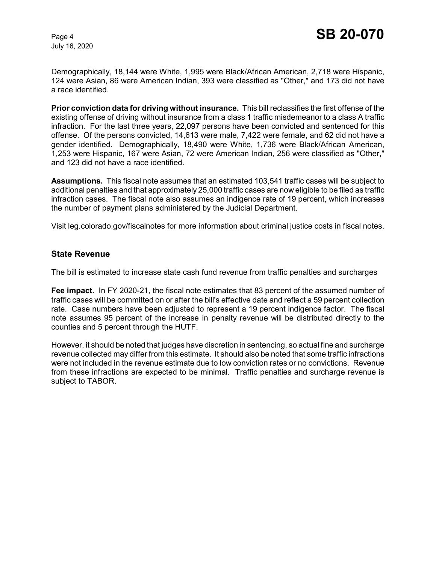Demographically, 18,144 were White, 1,995 were Black/African American, 2,718 were Hispanic, 124 were Asian, 86 were American Indian, 393 were classified as "Other," and 173 did not have a race identified.

**Prior conviction data for driving without insurance.** This bill reclassifies the first offense of the existing offense of driving without insurance from a class 1 traffic misdemeanor to a class A traffic infraction. For the last three years, 22,097 persons have been convicted and sentenced for this offense. Of the persons convicted, 14,613 were male, 7,422 were female, and 62 did not have a gender identified. Demographically, 18,490 were White, 1,736 were Black/African American, 1,253 were Hispanic, 167 were Asian, 72 were American Indian, 256 were classified as "Other," and 123 did not have a race identified.

**Assumptions.** This fiscal note assumes that an estimated 103,541 traffic cases will be subject to additional penalties and that approximately 25,000 traffic cases are now eligible to be filed as traffic infraction cases. The fiscal note also assumes an indigence rate of 19 percent, which increases the number of payment plans administered by the Judicial Department.

Visit leg.colorado.gov/fiscalnotes for more information about criminal justice costs in fiscal notes.

#### **State Revenue**

The bill is estimated to increase state cash fund revenue from traffic penalties and surcharges

**Fee impact.** In FY 2020-21, the fiscal note estimates that 83 percent of the assumed number of traffic cases will be committed on or after the bill's effective date and reflect a 59 percent collection rate. Case numbers have been adjusted to represent a 19 percent indigence factor. The fiscal note assumes 95 percent of the increase in penalty revenue will be distributed directly to the counties and 5 percent through the HUTF.

However, it should be noted that judges have discretion in sentencing, so actual fine and surcharge revenue collected may differ from this estimate. It should also be noted that some traffic infractions were not included in the revenue estimate due to low conviction rates or no convictions. Revenue from these infractions are expected to be minimal. Traffic penalties and surcharge revenue is subject to TABOR.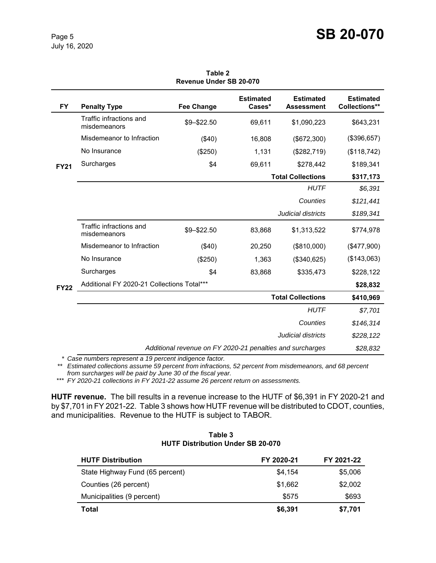| <b>FY</b>   | <b>Penalty Type</b>                                       | <b>Fee Change</b> | <b>Estimated</b><br>Cases* | <b>Estimated</b><br><b>Assessment</b> | <b>Estimated</b><br>Collections** |
|-------------|-----------------------------------------------------------|-------------------|----------------------------|---------------------------------------|-----------------------------------|
| <b>FY21</b> | Traffic infractions and<br>misdemeanors                   | \$9-\$22.50       | 69,611                     | \$1,090,223                           | \$643,231                         |
|             | Misdemeanor to Infraction                                 | (\$40)            | 16,808                     | (\$672,300)                           | (\$396,657)                       |
|             | No Insurance                                              | (\$250)           | 1,131                      | (\$282,719)                           | (\$118,742)                       |
|             | Surcharges                                                | \$4               | 69,611                     | \$278,442                             | \$189,341                         |
|             |                                                           |                   |                            | <b>Total Collections</b>              | \$317,173                         |
|             |                                                           |                   |                            | <b>HUTF</b>                           | \$6,391                           |
|             |                                                           |                   |                            | Counties                              | \$121,441                         |
|             |                                                           |                   |                            | Judicial districts                    | \$189,341                         |
| <b>FY22</b> | Traffic infractions and<br>misdemeanors                   | \$9-\$22.50       | 83,868                     | \$1,313,522                           | \$774,978                         |
|             | Misdemeanor to Infraction                                 | (\$40)            | 20,250                     | (\$810,000)                           | (\$477,900)                       |
|             | No Insurance                                              | (\$250)           | 1,363                      | (\$340,625)                           | (\$143,063)                       |
|             | Surcharges                                                | \$4               | 83,868                     | \$335,473                             | \$228,122                         |
|             | Additional FY 2020-21 Collections Total***                |                   |                            |                                       | \$28,832                          |
|             | <b>Total Collections</b>                                  |                   |                            |                                       | \$410,969                         |
|             |                                                           |                   |                            | <b>HUTF</b>                           | \$7,701                           |
|             |                                                           |                   |                            | Counties                              | \$146,314                         |
|             |                                                           |                   |                            | Judicial districts                    | \$228,122                         |
|             | Additional revenue on FY 2020-21 penalties and surcharges |                   |                            |                                       | \$28,832                          |

**Table 2 Revenue Under SB 20-070**

*\* Case numbers represent a 19 percent indigence factor.*

*\*\* Estimated collections assume 59 percent from infractions, 52 percent from misdemeanors, and 68 percent from surcharges will be paid by June 30 of the fiscal year.* 

\*\*\* *FY 2020-21 collections in FY 2021-22 assume 26 percent return on assessments.*

**HUTF revenue.** The bill results in a revenue increase to the HUTF of \$6,391 in FY 2020-21 and by \$7,701 in FY 2021-22. Table 3 shows how HUTF revenue will be distributed to CDOT, counties, and municipalities. Revenue to the HUTF is subject to TABOR.

| <b>HUTF Distribution</b>        | FY 2020-21 | FY 2021-22 |
|---------------------------------|------------|------------|
| State Highway Fund (65 percent) | \$4,154    | \$5,006    |
| Counties (26 percent)           | \$1,662    | \$2,002    |
| Municipalities (9 percent)      | \$575      | \$693      |
| Total                           | \$6,391    | \$7,701    |

**Table 3 HUTF Distribution Under SB 20-070**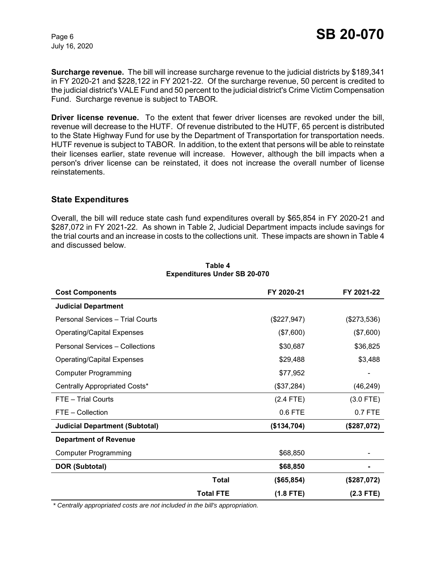**Surcharge revenue.** The bill will increase surcharge revenue to the judicial districts by \$189,341 in FY 2020-21 and \$228,122 in FY 2021-22. Of the surcharge revenue, 50 percent is credited to the judicial district's VALE Fund and 50 percent to the judicial district's Crime Victim Compensation Fund. Surcharge revenue is subject to TABOR.

**Driver license revenue.** To the extent that fewer driver licenses are revoked under the bill, revenue will decrease to the HUTF. Of revenue distributed to the HUTF, 65 percent is distributed to the State Highway Fund for use by the Department of Transportation for transportation needs. HUTF revenue is subject to TABOR. In addition, to the extent that persons will be able to reinstate their licenses earlier, state revenue will increase. However, although the bill impacts when a person's driver license can be reinstated, it does not increase the overall number of license reinstatements.

#### **State Expenditures**

Overall, the bill will reduce state cash fund expenditures overall by \$65,854 in FY 2020-21 and \$287,072 in FY 2021-22. As shown in Table 2, Judicial Department impacts include savings for the trial courts and an increase in costs to the collections unit. These impacts are shown in Table 4 and discussed below.

| <b>Cost Components</b>                |                  | FY 2020-21  | FY 2021-22  |
|---------------------------------------|------------------|-------------|-------------|
| <b>Judicial Department</b>            |                  |             |             |
| Personal Services - Trial Courts      |                  | (\$227,947) | (\$273,536) |
| <b>Operating/Capital Expenses</b>     |                  | (\$7,600)   | (\$7,600)   |
| Personal Services - Collections       |                  | \$30,687    | \$36,825    |
| <b>Operating/Capital Expenses</b>     |                  | \$29,488    | \$3,488     |
| <b>Computer Programming</b>           |                  | \$77,952    |             |
| Centrally Appropriated Costs*         |                  | (\$37,284)  | (46, 249)   |
| FTE - Trial Courts                    |                  | $(2.4$ FTE) | $(3.0$ FTE) |
| FTE - Collection                      |                  | 0.6 FTE     | 0.7 FTE     |
| <b>Judicial Department (Subtotal)</b> |                  | (\$134,704) | (\$287,072) |
| <b>Department of Revenue</b>          |                  |             |             |
| <b>Computer Programming</b>           |                  | \$68,850    |             |
| <b>DOR (Subtotal)</b>                 |                  | \$68,850    |             |
|                                       | <b>Total</b>     | (\$65,854)  | (\$287,072) |
|                                       | <b>Total FTE</b> | $(1.8$ FTE) | $(2.3$ FTE) |

#### **Table 4 Expenditures Under SB 20-070**

 *\* Centrally appropriated costs are not included in the bill's appropriation.*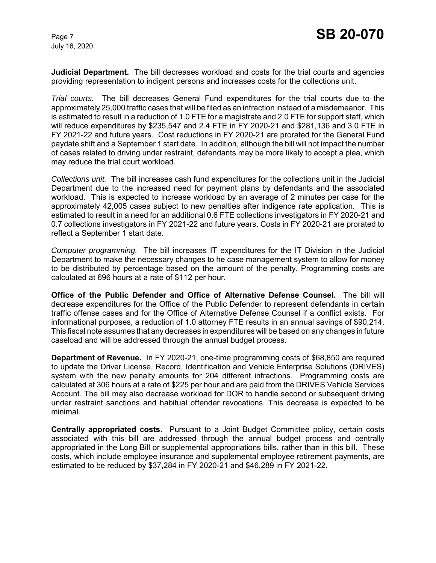**Judicial Department.** The bill decreases workload and costs for the trial courts and agencies providing representation to indigent persons and increases costs for the collections unit.

*Trial courts.* The bill decreases General Fund expenditures for the trial courts due to the approximately 25,000 traffic cases that will be filed as an infraction instead of a misdemeanor. This is estimated to result in a reduction of 1.0 FTE for a magistrate and 2.0 FTE for support staff, which will reduce expenditures by \$235,547 and 2.4 FTE in FY 2020-21 and \$281,136 and 3.0 FTE in FY 2021-22 and future years. Cost reductions in FY 2020-21 are prorated for the General Fund paydate shift and a September 1 start date. In addition, although the bill will not impact the number of cases related to driving under restraint, defendants may be more likely to accept a plea, which may reduce the trial court workload.

*Collections unit.* The bill increases cash fund expenditures for the collections unit in the Judicial Department due to the increased need for payment plans by defendants and the associated workload. This is expected to increase workload by an average of 2 minutes per case for the approximately 42,005 cases subject to new penalties after indigence rate application. This is estimated to result in a need for an additional 0.6 FTE collections investigators in FY 2020-21 and 0.7 collections investigators in FY 2021-22 and future years. Costs in FY 2020-21 are prorated to reflect a September 1 start date.

*Computer programming.* The bill increases IT expenditures for the IT Division in the Judicial Department to make the necessary changes to he case management system to allow for money to be distributed by percentage based on the amount of the penalty. Programming costs are calculated at 696 hours at a rate of \$112 per hour.

**Office of the Public Defender and Office of Alternative Defense Counsel.**The bill will decrease expenditures for the Office of the Public Defender to represent defendants in certain traffic offense cases and for the Office of Alternative Defense Counsel if a conflict exists. For informational purposes, a reduction of 1.0 attorney FTE results in an annual savings of \$90,214. This fiscal note assumes that any decreases in expenditures will be based on any changes in future caseload and will be addressed through the annual budget process.

**Department of Revenue.** In FY 2020-21, one-time programming costs of \$68,850 are required to update the Driver License, Record, Identification and Vehicle Enterprise Solutions (DRIVES) system with the new penalty amounts for 204 different infractions. Programming costs are calculated at 306 hours at a rate of \$225 per hour and are paid from the DRIVES Vehicle Services Account. The bill may also decrease workload for DOR to handle second or subsequent driving under restraint sanctions and habitual offender revocations. This decrease is expected to be minimal.

**Centrally appropriated costs.** Pursuant to a Joint Budget Committee policy, certain costs associated with this bill are addressed through the annual budget process and centrally appropriated in the Long Bill or supplemental appropriations bills, rather than in this bill. These costs, which include employee insurance and supplemental employee retirement payments, are estimated to be reduced by \$37,284 in FY 2020-21 and \$46,289 in FY 2021-22.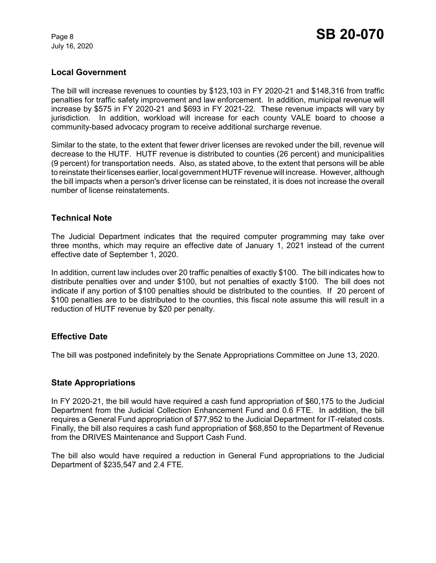# **Local Government**

The bill will increase revenues to counties by \$123,103 in FY 2020-21 and \$148,316 from traffic penalties for traffic safety improvement and law enforcement. In addition, municipal revenue will increase by \$575 in FY 2020-21 and \$693 in FY 2021-22. These revenue impacts will vary by jurisdiction. In addition, workload will increase for each county VALE board to choose a community-based advocacy program to receive additional surcharge revenue.

Similar to the state, to the extent that fewer driver licenses are revoked under the bill, revenue will decrease to the HUTF. HUTF revenue is distributed to counties (26 percent) and municipalities (9 percent) for transportation needs. Also, as stated above, to the extent that persons will be able to reinstate their licenses earlier, local government HUTF revenue will increase. However, although the bill impacts when a person's driver license can be reinstated, it is does not increase the overall number of license reinstatements.

#### **Technical Note**

The Judicial Department indicates that the required computer programming may take over three months, which may require an effective date of January 1, 2021 instead of the current effective date of September 1, 2020.

In addition, current law includes over 20 traffic penalties of exactly \$100. The bill indicates how to distribute penalties over and under \$100, but not penalties of exactly \$100. The bill does not indicate if any portion of \$100 penalties should be distributed to the counties. If 20 percent of \$100 penalties are to be distributed to the counties, this fiscal note assume this will result in a reduction of HUTF revenue by \$20 per penalty.

# **Effective Date**

The bill was postponed indefinitely by the Senate Appropriations Committee on June 13, 2020.

#### **State Appropriations**

In FY 2020-21, the bill would have required a cash fund appropriation of \$60,175 to the Judicial Department from the Judicial Collection Enhancement Fund and 0.6 FTE. In addition, the bill requires a General Fund appropriation of \$77,952 to the Judicial Department for IT-related costs. Finally, the bill also requires a cash fund appropriation of \$68,850 to the Department of Revenue from the DRIVES Maintenance and Support Cash Fund.

The bill also would have required a reduction in General Fund appropriations to the Judicial Department of \$235,547 and 2.4 FTE.